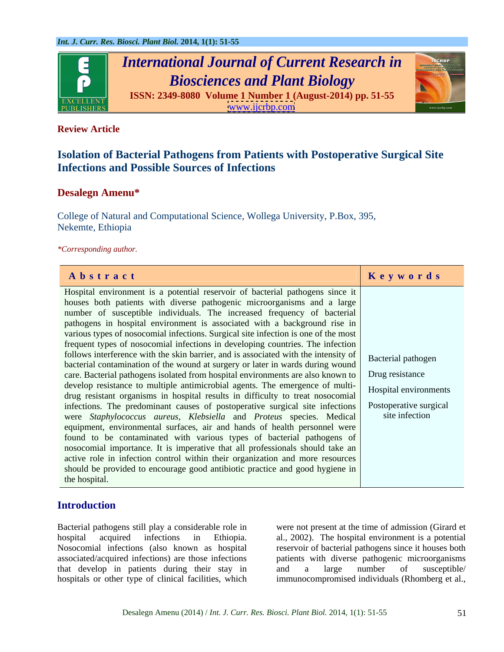

# **Review Article**

# **Isolation of Bacterial Pathogens from Patients with Postoperative Surgical Site Infections and Possible Sources of Infections**

# **Desalegn Amenu\***

College of Natural and Computational Science, Wollega University, P.Box, 395, Nekemte, Ethiopia

## *\*Corresponding author.*

| Abstract                                                                                               | Keywords              |
|--------------------------------------------------------------------------------------------------------|-----------------------|
| Hospital environment is a potential reservoir of bacterial pathogens since it                          |                       |
| houses both patients with diverse pathogenic microorganisms and a large                                |                       |
| number of susceptible individuals. The increased frequency of bacterial                                |                       |
| pathogens in hospital environment is associated with a background rise in                              |                       |
| various types of nosocomial infections. Surgical site infection is one of the most                     |                       |
| frequent types of nosocomial infections in developing countries. The infection                         |                       |
| follows interference with the skin barrier, and is associated with the intensity of Bacterial pathogen |                       |
| bacterial contamination of the wound at surgery or later in wards during wound                         |                       |
| care. Bacterial pathogens isolated from hospital environments are also known to Trug resistance        |                       |
| develop resistance to multiple antimicrobial agents. The emergence of multi-                           | Hospital environments |
| drug resistant organisms in hospital results in difficulty to treat nosocomial                         |                       |
| infections. The predominant causes of postoperative surgical site infections   Postoperative surgical  |                       |
| were Staphylococcus aureus, Klebsiella and Proteus species. Medical                                    | site infection        |
| equipment, environmental surfaces, air and hands of health personnel were                              |                       |
| found to be contaminated with various types of bacterial pathogens of                                  |                       |
| nosocomial importance. It is imperative that all professionals should take an                          |                       |
| active role in infection control within their organization and more resources                          |                       |
| should be provided to encourage good antibiotic practice and good hygiene in                           |                       |
| the hospital.                                                                                          |                       |

# **Introduction**

Bacterial pathogens still play a considerable role in were not present at the time of admission (Girard et hospital acquired infections in Ethiopia. al., 2002). The hospital environment is a potential Nosocomial infections (also known as hospital reservoir of bacterial pathogens since it houses both associated/acquired infections) are those infections patients with diverse pathogenic microorganisms that develop in patients during their stay in and a large number of susceptible/ hospitals or other type of clinical facilities, which

and a large number of susceptible/ immunocompromised individuals (Rhomberg et al.,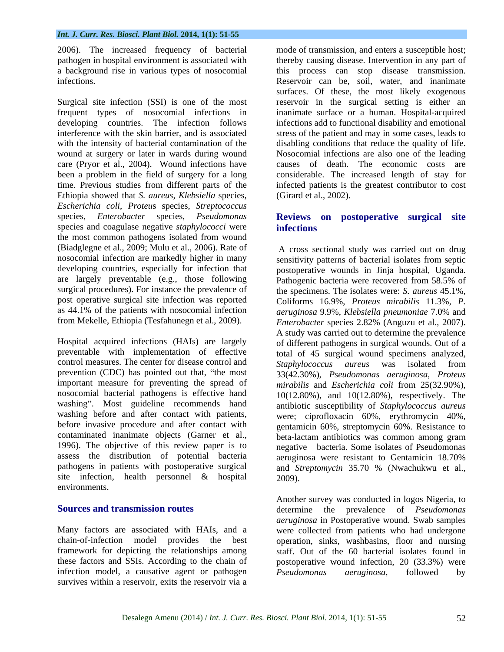### *Int. J. Curr. Res. Biosci. Plant Biol.* **2014, 1(1): 51-55**

Surgical site infection (SSI) is one of the most reservoir in the surgical setting is either an frequent types of nosocomial infections in inanimate surface or a human. Hospital-acquired developing countries. The infection follows infections add to functional disability and emotional interference with the skin barrier, and is associated stress of the patient and may in some cases, leads to with the intensity of bacterial contamination of the disabling conditions that reduce the quality of life. wound at surgery or later in wards during wound Nosocomial infections are also one of the leading care (Pryor et al., 2004). Wound infections have been a problem in the field of surgery for a long considerable. The increased length of stay for time. Previous studies from different parts of the infected patients is the greatest contributor to cost Ethiopia showed that *S. aureus*, *Klebsiella* species, *Escherichia coli*, *Proteu*s species, *Streptococcus* species, *Enterobacter* species, *Pseudomonas*  **Reviews on postoperative surgical site** species and coagulase negative *staphylococci* were the most common pathogens isolated from wound (Biadglegne et al., 2009; Mulu et al., 2006). Rate of are largely preventable (e.g., those following

Hospital acquired infections (HAIs) are largely of different pathogens in surgical wounds. Out of a preventable with implementation of effective total of 45 surgical wound specimens analyzed, control measures. The center for disease control and Staphylococcus aureus was isolated from prevention (CDC) has pointed out that, "the most  $\frac{33(42.30\%)}{3}$ , *Pseudomonas aeruginosa*, *Proteus* important measure for preventing the spread of *mirabilis* and *Escherichia coli* from 25(32.90%), nosocomial bacterial pathogens is effective hand washing". Most guideline recommends hand washing before and after contact with patients, were; ciprofloxacin 60%, erythromycin 40%, before invasive procedure and after contact with contaminated inanimate objects (Garner et al.,<br>1996). The objective of this review paper is to negative bacteria. Some isolates of Pseudomonas assess the distribution of potential bacteria aeruginosa were resistant to Gentamicin 18.70% pathogens in patients with postoperative surgical and *Streptomycin* 35.70 % (Nwachukwu et al., site infection, health personnel & hospital environments.

chain-of-infection model provides the best operation, sinks, washbasins, floor and nursing framework for depicting the relationships among staff. Out of the 60 bacterial isolates found in these factors and SSIs. According to the chain of postoperative wound infection, 20 (33.3%) were infection model, a causative agent or pathogen *Pseudomonas aeruginosa*, followed by survives within a reservoir, exits the reservoir via a

2006). The increased frequency of bacterial mode of transmission, and enters a susceptible host; pathogen in hospital environment is associated with thereby causing disease. Intervention in any part of a background rise in various types of nosocomial this process can stop disease transmission. infections. Reservoir can be, soil, water, and inanimate surfaces. Of these, the most likely exogenous causes of death. The economic costs are (Girard et al., 2002).

# **infections**

nosocomial infection are markedly higher in many sensitivity patterns of bacterial isolates from septic developing countries, especially for infection that postoperative wounds in Jinja hospital, Uganda. surgical procedures). For instance the prevalence of the specimens. The isolates were: *S. aureus* 45.1%, post operative surgical site infection was reported Coliforms 16.9%, *Proteus mirabilis* 11.3%, *P.*  as 44.1% of the patients with nosocomial infection *aeruginosa* 9.9%, *Klebsiella pneumoniae* 7.0% and from Mekelle, Ethiopia (Tesfahunegn et al., 2009). *Enterobacter* species 2.82% (Anguzu et al., 2007). A cross sectional study was carried out on drug Pathogenic bacteria were recovered from 58.5% of A study was carried out to determine the prevalence *Staphylococcus aureus* was isolated from 10(12.80%), and 10(12.80%), respectively. The antibiotic susceptibility of *Staphylococcus aureus* gentamicin 60%, streptomycin 60%. Resistance to beta-lactam antibiotics was common among gram negative bacteria. Some isolates of Pseudomonas and *Streptomycin* 35.70 % (Nwachukwu et al., 2009).

**Sources and transmission routes** determine the prevalence of *Pseudomonas aeruginosa* in Postoperative wound. Swab samples Many factors are associated with HAIs, and a were collected from patients who had undergone Another survey was conducted in logos Nigeria, to determine the prevalence of *Pseudomonas aeruginosa* in Postoperative wound. Swab samples were collected from patients who had undergone *Pseudomonas aeruginosa*, followed by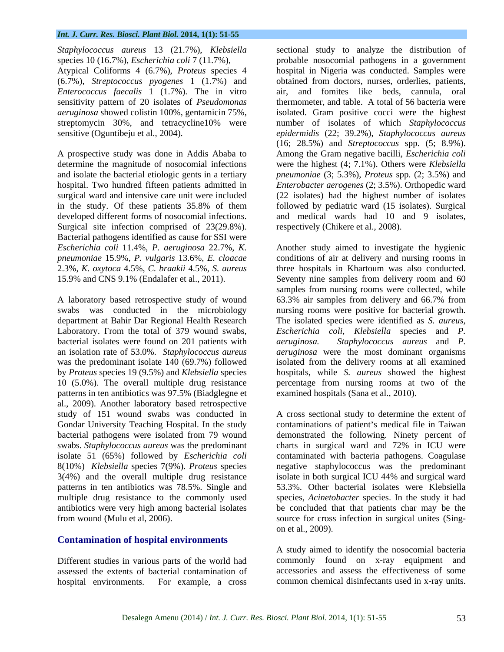## *Int. J. Curr. Res. Biosci. Plant Biol.* **2014, 1(1): 51-55**

Atypical Coliforms 4 (6.7%), *Proteus* species 4 (6.7%), *Streptococcus pyogenes* 1 (1.7%) and *Enterococcus faecalis* 1 (1.7%). The in vitro

Surgical site infection comprised of 23(29.8%). Bacterial pathogens identified as cause for SSI were

bacterial isolates were found on 201 patients with *aeruginosa*. patterns in ten antibiotics was 97.5% (Biadglegne et al., 2009). Another laboratory based retrospective study of 151 wound swabs was conducted in A cross sectional study to determine the extent of Gondar University Teaching Hospital. In the study contaminations of patient's medical file in Taiwan bacterial pathogens were isolated from 79 wound demonstrated the following. Ninety percent of swabs. *Staphylococcus aureus* was the predominant charts in surgical ward and 72% in ICU were isolate 51 (65%) followed by *Escherichia coli* contaminated with bacteria pathogens. Coagulase 8(10%) *Klebsiella* species 7(9%). *Proteus* species negative staphylococcus was the predominant 3(4%) and the overall multiple drug resistance isolate in both surgical ICU 44% and surgical ward patterns in ten antibiotics was 78.5%. Single and multiple drug resistance to the commonly used species, *Acinetobacter* species. In the study it had antibiotics were very high among bacterial isolates be concluded that that patients char may be the from wound (Mulu et al, 2006). source for cross infection in surgical unites (Sing-

## **Contamination of hospital environments**

Different studies in various parts of the world had assessed the extents of bacterial contamination of hospital environments. For example, a cross common chemical disinfectants used in x-ray units.

*Staphylococcus aureus* 13 (21.7%), *Klebsiella* sectional study to analyze the distribution of species 10 (16.7%), *Escherichia coli* 7 (11.7%), probable nosocomial pathogens in a government sensitivity pattern of 20 isolates of *Pseudomonas*  thermometer, and table. A total of 56 bacteria were *aeruginosa* showed colistin 100%, gentamicin 75%, isolated. Gram positive cocci were the highest streptomycin 30%, and tetracycline10% were number of isolates of which *Staphylococcus*  sensitive (Oguntibeju et al., 2004). *epidermidis* (22; 39.2%), *Staphylococcus aureus* A prospective study was done in Addis Ababa to Among the Gram negative bacilli, *Escherichia coli* determine the magnitude of nosocomial infections were the highest (4; 7.1%). Others were *Klebsiella*  and isolate the bacterial etiologic gents in a tertiary *pneumoniae* (3; 5.3%), *Proteus* spp. (2; 3.5%) and hospital. Two hundred fifteen patients admitted in *Enterobacter aerogenes* (2; 3.5%). Orthopedic ward surgical ward and intensive care unit were included (22 isolates) had the highest number of isolates in the study. Of these patients 35.8% of them followed by pediatric ward (15 isolates). Surgical developed different forms of nosocomial infections. and medical wards had 10 and 9 isolates, hospital in Nigeria was conducted. Samples were obtained from doctors, nurses, orderlies, patients, air, and fomites like beds, cannula, oral (16; 28.5%) and *Streptococcus* spp. (5; 8.9%). respectively (Chikere et al., 2008).

*Escherichia coli* 11.4%, *P. aeruginosa* 22.7%, *K.*  Another study aimed to investigate the hygienic *pneumoniae* 15.9%, *P. vulgaris* 13.6%, *E. cloacae* conditions of air at delivery and nursing rooms in 2.3%, *K. oxytoca* 4.5%, *C. braakii* 4.5%, *S. aureus* three hospitals in Khartoum was also conducted. 15.9% and CNS 9.1% (Endalafer et al., 2011). Seventy nine samples from delivery room and 60 A laboratory based retrospective study of wound 63.3% air samples from delivery and 66.7% from swabs was conducted in the microbiology nursing rooms were positive for bacterial growth. department at Bahir Dar Regional Health Research The isolated species were identified as *S. aureus,* Laboratory. From the total of 379 wound swabs, *Escherichia coli, Klebsiella* species and *P.*  an isolation rate of 53.0%. *Staphylococcus aureus aeruginosa* were the most dominant organisms was the predominant isolate 140 (69.7%) followed isolated from the delivery rooms at all examined by *Proteus* species 19 (9.5%) and *Klebsiella* species hospitals, while *S. aureus* showed the highest 10 (5.0%). The overall multiple drug resistance percentage from nursing rooms at two of the samples from nursing rooms were collected, while *Staphylococcus aureus* and *P.* examined hospitals (Sana et al., 2010).

> 53.3%. Other bacterial isolates were Klebsiella on et al., 2009).

> A study aimed to identify the nosocomial bacteria commonly found on x-ray equipment and accessories and assess the effectiveness of some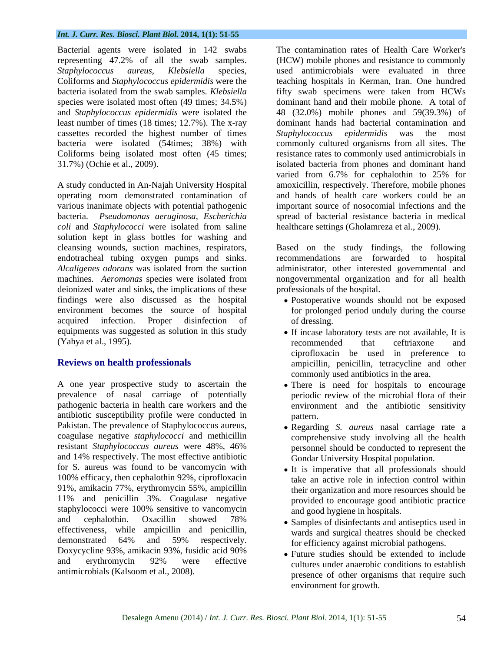### *Int. J. Curr. Res. Biosci. Plant Biol.* **2014, 1(1): 51-55**

Bacterial agents were isolated in 142 swabs representing 47.2% of all the swab samples. Coliforms and *Staphylococcus epidermidis* were the cassettes recorded the highest number of times Staphylococcus epidermidis was the most

*coli* and *Staphylococci* were isolated from saline solution kept in glass bottles for washing and cleansing wounds, suction machines, respirators, Based on the study findings, the following endotracheal tubing oxygen pumps and sinks. recommendations are forwarded to hospital *Alcaligenes odorans* was isolated from the suction administrator, other interested governmental and machines. *Aeromonas* species were isolated from nongovernmental organization and for all health deionized water and sinks, the implications of these findings were also discussed as the hospital Postoperative wounds should not be exposed environment becomes the source of hospital for prolonged period unduly during the course acquired infection. Proper disinfection of of dressing. equipments was suggested as solution in this study (Yahya et al., 1995).

A one year prospective study to ascertain the There is need for hospitals to encourage prevalence of nasal carriage of potentially pathogenic bacteria in health care workers and the environment and the antibiotic sensitivity antibiotic susceptibility profile were conducted in Pakistan. The prevalence of Staphylococcus aureus, coagulase negative *staphylococci* and methicillin resistant *Staphylococcus aureus* were 48%, 46% and 14% respectively. The most effective antibiotic for S. aureus was found to be vancomycin with  $\bullet$  It is imperative that all professionals should 100% efficacy, then cephalothin 92%, ciprofloxacin 91%, amikacin 77%, erythromycin 55%, ampicillin 11% and penicillin 3%. Coagulase negative staphylococci were 100% sensitive to vancomycin and cephalothin. Oxacillin showed 78% • Samples of disinfectants and antisentics used in effectiveness, while ampicillin and penicillin, demonstrated 64% and 59% respectively.  $\frac{1}{2}$  for efficiency against microbial pathogens Doxycycline 93%, amikacin 93%, fusidic acid 90% and erythromycin 92% were effective and entity in the conditions to establish

*Staphylococcus aureus*, *Klebsiella* species, used antimicrobials were evaluated in three bacteria isolated from the swab samples. *Klebsiella* fifty swab specimens were taken from HCWs species were isolated most often (49 times; 34.5%) dominant hand and their mobile phone. A total of and *Staphylococcus epidermidis* were isolated the 48 (32.0%) mobile phones and 59(39.3%) of least number of times (18 times; 12.7%). The x-ray dominant hands had bacterial contamination and bacteria were isolated (54times; 38%) with commonly cultured organisms from all sites. The Coliforms being isolated most often (45 times; resistance rates to commonly used antimicrobials in 31.7%) (Ochie et al., 2009). isolated bacteria from phones and dominant hand A study conducted in An-Najah University Hospital amoxicillin, respectively. Therefore, mobile phones operating room demonstrated contamination of and hands of health care workers could be an various inanimate objects with potential pathogenic important source of nosocomial infections and the bacteria. *Pseudomonas aeruginosa*, *Escherichia*  spread of bacterial resistance bacteria in medical The contamination rates of Health Care Worker's (HCW) mobile phones and resistance to commonly teaching hospitals in Kerman, Iran. One hundred *Staphylococcus epidermidis* was the most varied from 6.7% for cephalothin to 25% for healthcare settings (Gholamreza et al., 2009).

professionals of the hospital.

- of dressing.
- **Reviews on health professionals** ampicillin, penicillin, tetracycline and other • If incase laboratory tests are not available, It is recommended that ceftriaxone and ciprofloxacin be used in preference to commonly used antibiotics in the area.
	- periodic review of the microbial flora of their pattern.
	- Regarding *S. aureus* nasal carriage rate a comprehensive study involving all the health personnel should be conducted to represent the Gondar University Hospital population.
	- take an active role in infection control within their organization and more resources should be provided to encourage good antibiotic practice and good hygiene in hospitals.
	- Samples of disinfectants and antiseptics used in wards and surgical theatres should be checked for efficiency against microbial pathogens.
- antimicrobials (Kalsoom et al., 2008). The presence of other organisms that require such Future studies should be extended to include cultures under anaerobic conditions to establish environment for growth.